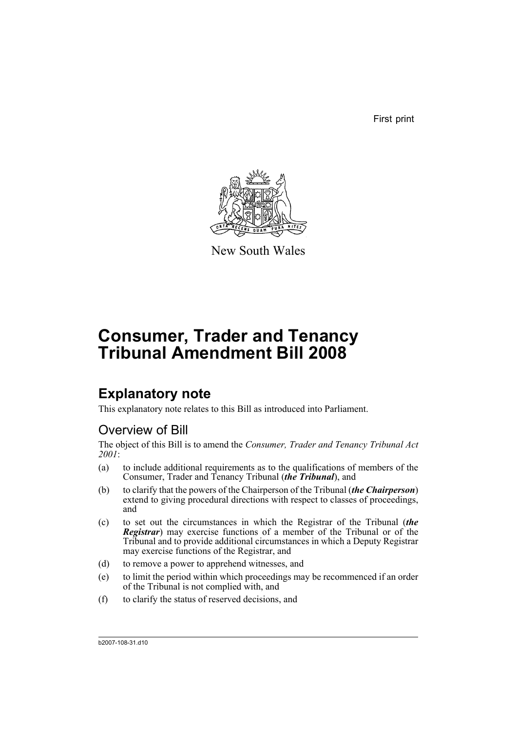First print



New South Wales

# **Consumer, Trader and Tenancy Tribunal Amendment Bill 2008**

## **Explanatory note**

This explanatory note relates to this Bill as introduced into Parliament.

## Overview of Bill

The object of this Bill is to amend the *Consumer, Trader and Tenancy Tribunal Act 2001*:

- (a) to include additional requirements as to the qualifications of members of the Consumer, Trader and Tenancy Tribunal (*the Tribunal*), and
- (b) to clarify that the powers of the Chairperson of the Tribunal (*the Chairperson*) extend to giving procedural directions with respect to classes of proceedings, and
- (c) to set out the circumstances in which the Registrar of the Tribunal (*the Registrar*) may exercise functions of a member of the Tribunal or of the Tribunal and to provide additional circumstances in which a Deputy Registrar may exercise functions of the Registrar, and
- (d) to remove a power to apprehend witnesses, and
- (e) to limit the period within which proceedings may be recommenced if an order of the Tribunal is not complied with, and
- (f) to clarify the status of reserved decisions, and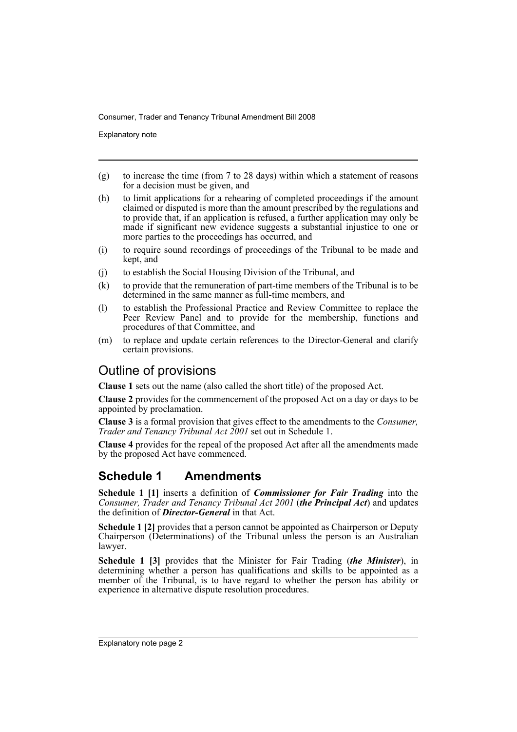Explanatory note

- (g) to increase the time (from 7 to 28 days) within which a statement of reasons for a decision must be given, and
- (h) to limit applications for a rehearing of completed proceedings if the amount claimed or disputed is more than the amount prescribed by the regulations and to provide that, if an application is refused, a further application may only be made if significant new evidence suggests a substantial injustice to one or more parties to the proceedings has occurred, and
- (i) to require sound recordings of proceedings of the Tribunal to be made and kept, and
- (j) to establish the Social Housing Division of the Tribunal, and
- (k) to provide that the remuneration of part-time members of the Tribunal is to be determined in the same manner as full-time members, and
- (l) to establish the Professional Practice and Review Committee to replace the Peer Review Panel and to provide for the membership, functions and procedures of that Committee, and
- (m) to replace and update certain references to the Director-General and clarify certain provisions.

### Outline of provisions

**Clause 1** sets out the name (also called the short title) of the proposed Act.

**Clause 2** provides for the commencement of the proposed Act on a day or days to be appointed by proclamation.

**Clause 3** is a formal provision that gives effect to the amendments to the *Consumer, Trader and Tenancy Tribunal Act 2001* set out in Schedule 1.

**Clause 4** provides for the repeal of the proposed Act after all the amendments made by the proposed Act have commenced.

## **Schedule 1 Amendments**

**Schedule 1 [1]** inserts a definition of *Commissioner for Fair Trading* into the *Consumer, Trader and Tenancy Tribunal Act 2001* (*the Principal Act*) and updates the definition of *Director-General* in that Act.

**Schedule 1 [2]** provides that a person cannot be appointed as Chairperson or Deputy Chairperson (Determinations) of the Tribunal unless the person is an Australian lawyer.

**Schedule 1 [3]** provides that the Minister for Fair Trading (*the Minister*), in determining whether a person has qualifications and skills to be appointed as a member of the Tribunal, is to have regard to whether the person has ability or experience in alternative dispute resolution procedures.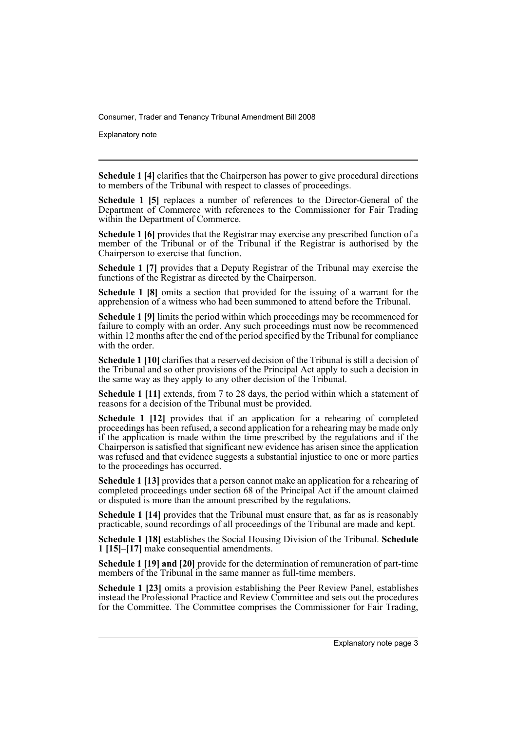Explanatory note

**Schedule 1 [4]** clarifies that the Chairperson has power to give procedural directions to members of the Tribunal with respect to classes of proceedings.

**Schedule 1 [5]** replaces a number of references to the Director-General of the Department of Commerce with references to the Commissioner for Fair Trading within the Department of Commerce.

**Schedule 1 [6]** provides that the Registrar may exercise any prescribed function of a member of the Tribunal or of the Tribunal if the Registrar is authorised by the Chairperson to exercise that function.

**Schedule 1 [7]** provides that a Deputy Registrar of the Tribunal may exercise the functions of the Registrar as directed by the Chairperson.

**Schedule 1 [8]** omits a section that provided for the issuing of a warrant for the apprehension of a witness who had been summoned to attend before the Tribunal.

**Schedule 1 [9]** limits the period within which proceedings may be recommenced for failure to comply with an order. Any such proceedings must now be recommenced within 12 months after the end of the period specified by the Tribunal for compliance with the order.

**Schedule 1 [10]** clarifies that a reserved decision of the Tribunal is still a decision of the Tribunal and so other provisions of the Principal Act apply to such a decision in the same way as they apply to any other decision of the Tribunal.

**Schedule 1 [11]** extends, from 7 to 28 days, the period within which a statement of reasons for a decision of the Tribunal must be provided.

**Schedule 1 [12]** provides that if an application for a rehearing of completed proceedings has been refused, a second application for a rehearing may be made only if the application is made within the time prescribed by the regulations and if the Chairperson is satisfied that significant new evidence has arisen since the application was refused and that evidence suggests a substantial injustice to one or more parties to the proceedings has occurred.

**Schedule 1 [13]** provides that a person cannot make an application for a rehearing of completed proceedings under section 68 of the Principal Act if the amount claimed or disputed is more than the amount prescribed by the regulations.

**Schedule 1 [14]** provides that the Tribunal must ensure that, as far as is reasonably practicable, sound recordings of all proceedings of the Tribunal are made and kept.

**Schedule 1 [18]** establishes the Social Housing Division of the Tribunal. **Schedule 1 [15]–[17]** make consequential amendments.

**Schedule 1 [19] and [20]** provide for the determination of remuneration of part-time members of the Tribunal in the same manner as full-time members.

**Schedule 1 [23]** omits a provision establishing the Peer Review Panel, establishes instead the Professional Practice and Review Committee and sets out the procedures for the Committee. The Committee comprises the Commissioner for Fair Trading,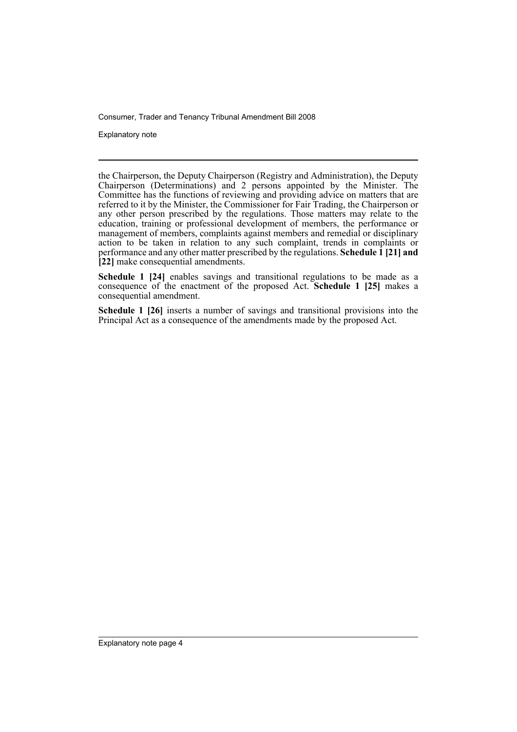Explanatory note

the Chairperson, the Deputy Chairperson (Registry and Administration), the Deputy Chairperson (Determinations) and 2 persons appointed by the Minister. The Committee has the functions of reviewing and providing advice on matters that are referred to it by the Minister, the Commissioner for Fair Trading, the Chairperson or any other person prescribed by the regulations. Those matters may relate to the education, training or professional development of members, the performance or management of members, complaints against members and remedial or disciplinary action to be taken in relation to any such complaint, trends in complaints or performance and any other matter prescribed by the regulations. **Schedule 1 [21] and [22]** make consequential amendments.

**Schedule 1 [24]** enables savings and transitional regulations to be made as a consequence of the enactment of the proposed Act. **Schedule 1 [25]** makes a consequential amendment.

**Schedule 1 [26]** inserts a number of savings and transitional provisions into the Principal Act as a consequence of the amendments made by the proposed Act.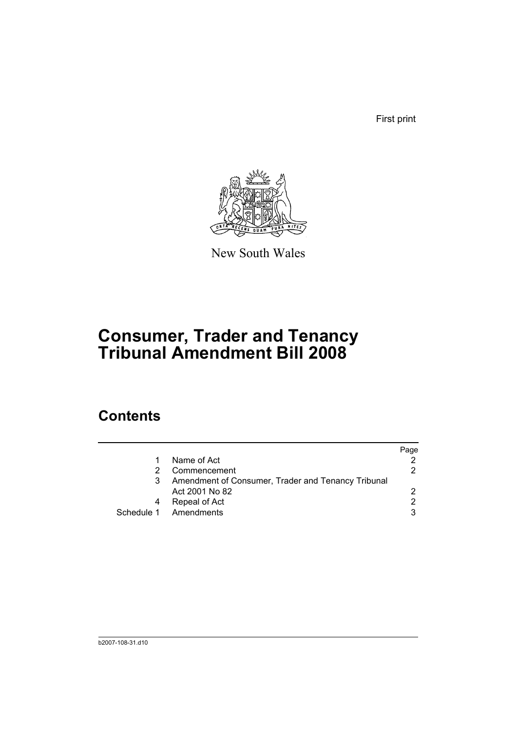First print



New South Wales

# **Consumer, Trader and Tenancy Tribunal Amendment Bill 2008**

## **Contents**

|                                                    | Page |
|----------------------------------------------------|------|
| Name of Act                                        |      |
| Commencement                                       | 2.   |
| Amendment of Consumer, Trader and Tenancy Tribunal |      |
| Act 2001 No 82                                     | 2    |
| Repeal of Act                                      | 2    |
| Schedule 1 Amendments                              | 3    |
|                                                    |      |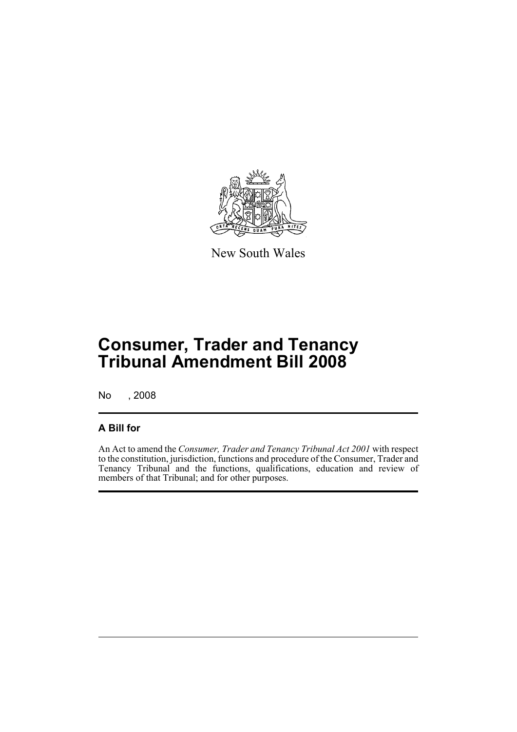

New South Wales

# **Consumer, Trader and Tenancy Tribunal Amendment Bill 2008**

No , 2008

#### **A Bill for**

An Act to amend the *Consumer, Trader and Tenancy Tribunal Act 2001* with respect to the constitution, jurisdiction, functions and procedure of the Consumer, Trader and Tenancy Tribunal and the functions, qualifications, education and review of members of that Tribunal; and for other purposes.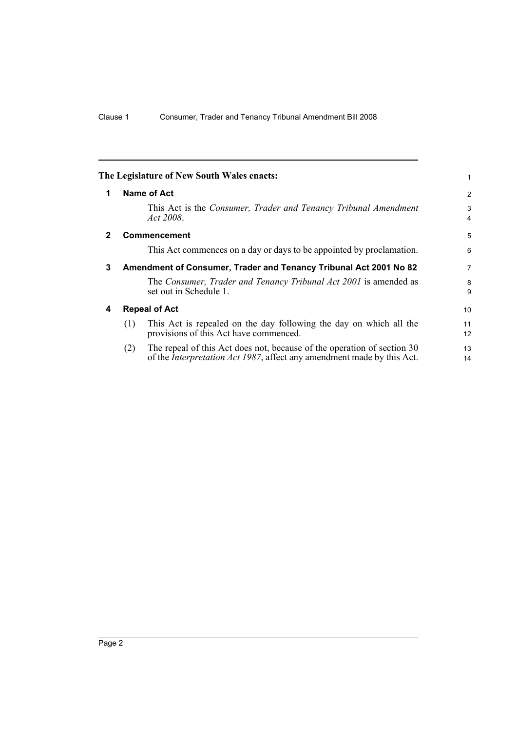<span id="page-7-3"></span><span id="page-7-2"></span><span id="page-7-1"></span><span id="page-7-0"></span>

|             | The Legislature of New South Wales enacts:                                                                                                                       | 1        |  |  |  |  |
|-------------|------------------------------------------------------------------------------------------------------------------------------------------------------------------|----------|--|--|--|--|
| 1           | Name of Act                                                                                                                                                      |          |  |  |  |  |
|             | This Act is the Consumer, Trader and Tenancy Tribunal Amendment<br>Act 2008.                                                                                     | 3<br>4   |  |  |  |  |
| $\mathbf 2$ | <b>Commencement</b>                                                                                                                                              | 5        |  |  |  |  |
|             | This Act commences on a day or days to be appointed by proclamation.                                                                                             | 6        |  |  |  |  |
| 3           | Amendment of Consumer, Trader and Tenancy Tribunal Act 2001 No 82                                                                                                |          |  |  |  |  |
|             | The Consumer, Trader and Tenancy Tribunal Act 2001 is amended as<br>set out in Schedule 1.                                                                       | 8<br>9   |  |  |  |  |
| 4           | <b>Repeal of Act</b>                                                                                                                                             |          |  |  |  |  |
|             | This Act is repealed on the day following the day on which all the<br>(1)<br>provisions of this Act have commenced.                                              | 11<br>12 |  |  |  |  |
|             | The repeal of this Act does not, because of the operation of section 30<br>(2)<br>of the <i>Interpretation Act 1987</i> , affect any amendment made by this Act. | 13<br>14 |  |  |  |  |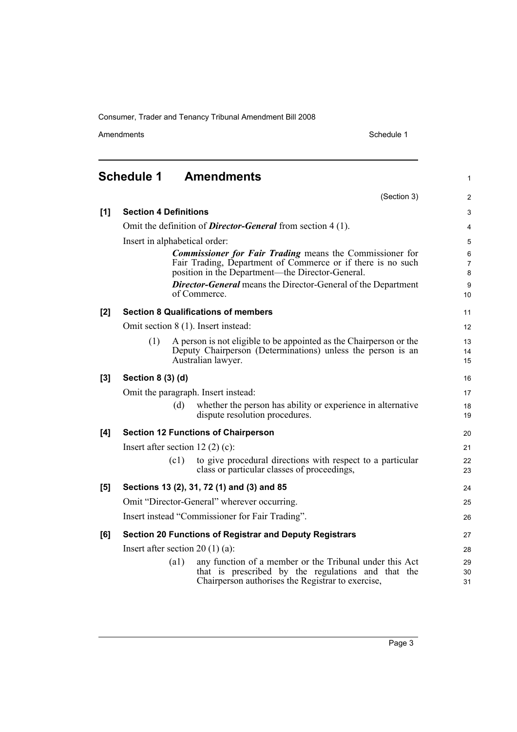Amendments Schedule 1

(Section 3)

1

2

<span id="page-8-0"></span>

| [1]   | <b>Section 4 Definitions</b>                |      |                                                                                                                                                                                    |                          |  |
|-------|---------------------------------------------|------|------------------------------------------------------------------------------------------------------------------------------------------------------------------------------------|--------------------------|--|
|       |                                             |      | Omit the definition of <i>Director-General</i> from section 4 (1).                                                                                                                 | 4                        |  |
|       | Insert in alphabetical order:               |      |                                                                                                                                                                                    |                          |  |
|       |                                             |      | <b>Commissioner for Fair Trading means the Commissioner for</b><br>Fair Trading, Department of Commerce or if there is no such<br>position in the Department—the Director-General. | 6<br>$\overline{7}$<br>8 |  |
|       |                                             |      | <b>Director-General</b> means the Director-General of the Department<br>of Commerce.                                                                                               | $\boldsymbol{9}$<br>10   |  |
| [2]   |                                             |      | <b>Section 8 Qualifications of members</b>                                                                                                                                         | 11                       |  |
|       |                                             |      | Omit section 8 (1). Insert instead:                                                                                                                                                | 12                       |  |
|       | (1)                                         |      | A person is not eligible to be appointed as the Chairperson or the<br>Deputy Chairperson (Determinations) unless the person is an<br>Australian lawyer.                            | 13<br>14<br>15           |  |
| $[3]$ | Section 8 (3) (d)                           |      |                                                                                                                                                                                    | 16                       |  |
|       |                                             |      | Omit the paragraph. Insert instead:                                                                                                                                                | 17                       |  |
|       |                                             | (d)  | whether the person has ability or experience in alternative<br>dispute resolution procedures.                                                                                      | 18<br>19                 |  |
| [4]   |                                             |      | <b>Section 12 Functions of Chairperson</b>                                                                                                                                         | 20                       |  |
|       | Insert after section 12 $(2)$ $(c)$ :       |      |                                                                                                                                                                                    | 21                       |  |
|       |                                             | (c1) | to give procedural directions with respect to a particular<br>class or particular classes of proceedings,                                                                          | 22<br>23                 |  |
| [5]   |                                             |      | Sections 13 (2), 31, 72 (1) and (3) and 85                                                                                                                                         | 24                       |  |
|       | Omit "Director-General" wherever occurring. |      |                                                                                                                                                                                    |                          |  |
|       |                                             |      | Insert instead "Commissioner for Fair Trading".                                                                                                                                    | 26                       |  |
| [6]   |                                             |      | <b>Section 20 Functions of Registrar and Deputy Registrars</b>                                                                                                                     | 27                       |  |
|       | Insert after section 20 $(1)$ (a):          |      |                                                                                                                                                                                    | 28                       |  |
|       |                                             | (a1) | any function of a member or the Tribunal under this Act<br>that is prescribed by the regulations and that the<br>Chairperson authorises the Registrar to exercise,                 | 29<br>30<br>31           |  |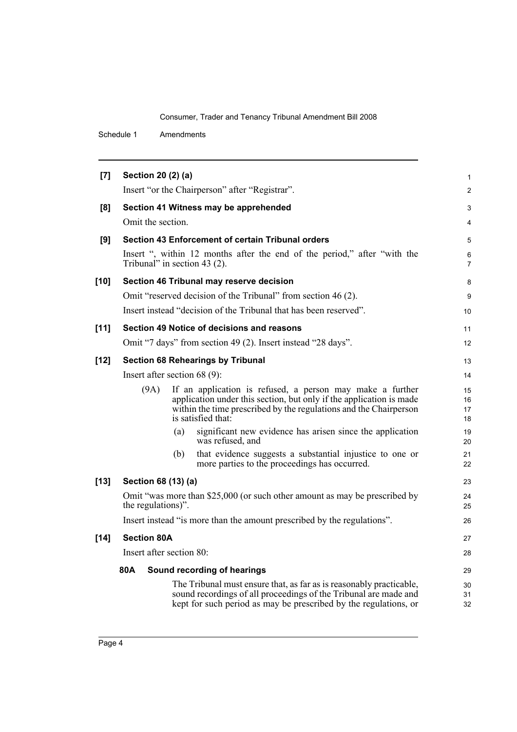| [7]    |                    | Section 20 (2) (a)              |                                                                                                                                                                                                                             | $\mathbf{1}$         |
|--------|--------------------|---------------------------------|-----------------------------------------------------------------------------------------------------------------------------------------------------------------------------------------------------------------------------|----------------------|
|        |                    |                                 | Insert "or the Chairperson" after "Registrar".                                                                                                                                                                              | 2                    |
| [8]    |                    |                                 | Section 41 Witness may be apprehended                                                                                                                                                                                       | 3                    |
|        |                    | Omit the section.               |                                                                                                                                                                                                                             | 4                    |
| [9]    |                    |                                 | Section 43 Enforcement of certain Tribunal orders                                                                                                                                                                           | 5                    |
|        |                    | Tribunal" in section 43 $(2)$ . | Insert ", within 12 months after the end of the period," after "with the                                                                                                                                                    | 6<br>$\overline{7}$  |
| $[10]$ |                    |                                 | Section 46 Tribunal may reserve decision                                                                                                                                                                                    | 8                    |
|        |                    |                                 | Omit "reserved decision of the Tribunal" from section 46 (2).                                                                                                                                                               | 9                    |
|        |                    |                                 | Insert instead "decision of the Tribunal that has been reserved".                                                                                                                                                           | 10                   |
| $[11]$ |                    |                                 | Section 49 Notice of decisions and reasons                                                                                                                                                                                  | 11                   |
|        |                    |                                 | Omit "7 days" from section 49 (2). Insert instead "28 days".                                                                                                                                                                | 12                   |
| $[12]$ |                    |                                 | <b>Section 68 Rehearings by Tribunal</b>                                                                                                                                                                                    | 13                   |
|        |                    | Insert after section $68(9)$ :  |                                                                                                                                                                                                                             | 14                   |
|        | (9A)               |                                 | If an application is refused, a person may make a further<br>application under this section, but only if the application is made<br>within the time prescribed by the regulations and the Chairperson<br>is satisfied that: | 15<br>16<br>17<br>18 |
|        |                    | (a)                             | significant new evidence has arisen since the application<br>was refused, and                                                                                                                                               | 19<br>20             |
|        |                    | (b)                             | that evidence suggests a substantial injustice to one or<br>more parties to the proceedings has occurred.                                                                                                                   | 21<br>22             |
| $[13]$ |                    | Section 68 (13) (a)             |                                                                                                                                                                                                                             | 23                   |
|        |                    | the regulations)".              | Omit "was more than \$25,000 (or such other amount as may be prescribed by                                                                                                                                                  | 24<br>25             |
|        |                    |                                 | Insert instead "is more than the amount prescribed by the regulations".                                                                                                                                                     | 26                   |
| $[14]$ | <b>Section 80A</b> |                                 |                                                                                                                                                                                                                             | 27                   |
|        |                    | Insert after section 80:        |                                                                                                                                                                                                                             | 28                   |
|        | 80A                |                                 | Sound recording of hearings                                                                                                                                                                                                 | 29                   |
|        |                    |                                 | The Tribunal must ensure that, as far as is reasonably practicable,<br>sound recordings of all proceedings of the Tribunal are made and<br>kept for such period as may be prescribed by the regulations, or                 | 30<br>31<br>32       |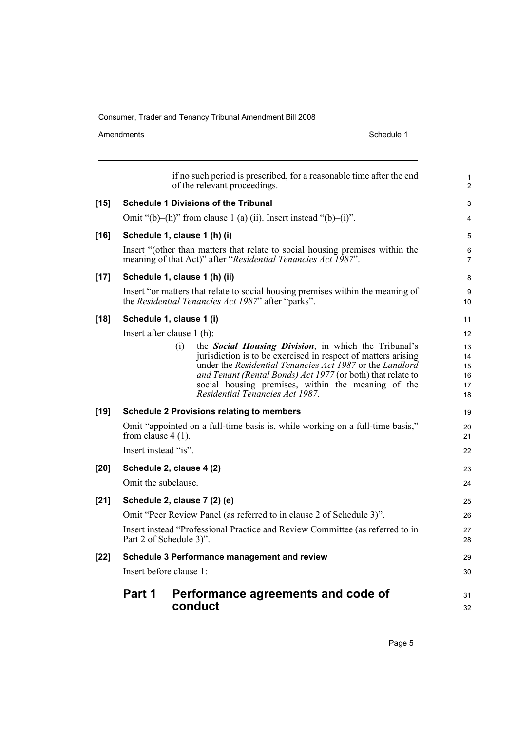Amendments Schedule 1

|        | Part 1               | Performance agreements and code of<br>conduct                                                                                                                                                                                                                                                                                                            | 31<br>32                         |
|--------|----------------------|----------------------------------------------------------------------------------------------------------------------------------------------------------------------------------------------------------------------------------------------------------------------------------------------------------------------------------------------------------|----------------------------------|
|        |                      | Insert before clause 1:                                                                                                                                                                                                                                                                                                                                  | 30                               |
| $[22]$ |                      | Schedule 3 Performance management and review                                                                                                                                                                                                                                                                                                             | 29                               |
|        |                      | Insert instead "Professional Practice and Review Committee (as referred to in<br>Part 2 of Schedule 3)".                                                                                                                                                                                                                                                 | 27<br>28                         |
|        |                      | Omit "Peer Review Panel (as referred to in clause 2 of Schedule 3)".                                                                                                                                                                                                                                                                                     | 26                               |
| $[21]$ |                      | Schedule 2, clause 7 (2) (e)                                                                                                                                                                                                                                                                                                                             | 25                               |
|        | Omit the subclause.  |                                                                                                                                                                                                                                                                                                                                                          | 24                               |
| $[20]$ |                      | Schedule 2, clause 4 (2)                                                                                                                                                                                                                                                                                                                                 | 23                               |
|        | Insert instead "is". |                                                                                                                                                                                                                                                                                                                                                          | 22                               |
|        | from clause $4(1)$ . | Omit "appointed on a full-time basis is, while working on a full-time basis,"                                                                                                                                                                                                                                                                            | 20<br>21                         |
| $[19]$ |                      | <b>Schedule 2 Provisions relating to members</b>                                                                                                                                                                                                                                                                                                         | 19                               |
|        |                      | (i)<br>the <b>Social Housing Division</b> , in which the Tribunal's<br>jurisdiction is to be exercised in respect of matters arising<br>under the Residential Tenancies Act 1987 or the Landlord<br>and Tenant (Rental Bonds) Act 1977 (or both) that relate to<br>social housing premises, within the meaning of the<br>Residential Tenancies Act 1987. | 13<br>14<br>15<br>16<br>17<br>18 |
|        |                      | Insert after clause 1 (h):                                                                                                                                                                                                                                                                                                                               | 12                               |
| $[18]$ |                      | Schedule 1, clause 1 (i)                                                                                                                                                                                                                                                                                                                                 | 11                               |
|        |                      | Insert "or matters that relate to social housing premises within the meaning of<br>the Residential Tenancies Act 1987" after "parks".                                                                                                                                                                                                                    | 9<br>10                          |
| $[17]$ |                      | Schedule 1, clause 1 (h) (ii)                                                                                                                                                                                                                                                                                                                            | 8                                |
|        |                      | Insert "(other than matters that relate to social housing premises within the<br>meaning of that Act)" after "Residential Tenancies Act 1987".                                                                                                                                                                                                           | 6<br>$\overline{7}$              |
| $[16]$ |                      | Schedule 1, clause 1 (h) (i)                                                                                                                                                                                                                                                                                                                             | 5                                |
|        |                      | Omit "(b)-(h)" from clause 1 (a) (ii). Insert instead "(b)-(i)".                                                                                                                                                                                                                                                                                         | 4                                |
| $[15]$ |                      | <b>Schedule 1 Divisions of the Tribunal</b>                                                                                                                                                                                                                                                                                                              | 3                                |
|        |                      | if no such period is prescribed, for a reasonable time after the end<br>of the relevant proceedings.                                                                                                                                                                                                                                                     | $\mathbf{1}$<br>$\overline{2}$   |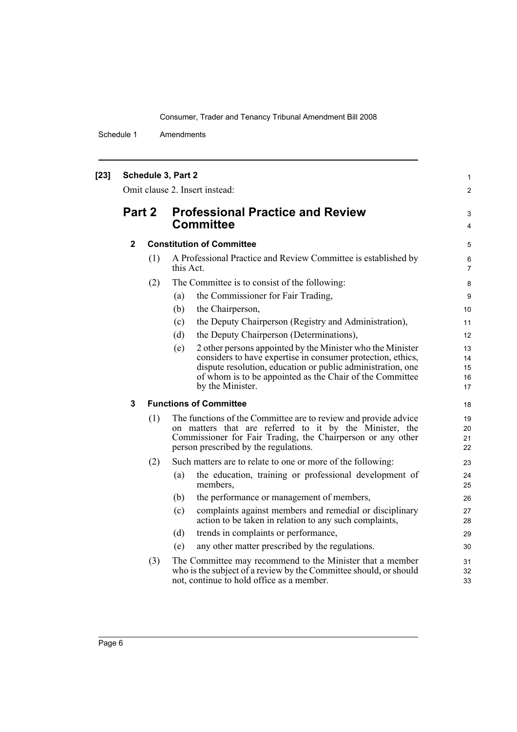| $[23]$ | Schedule 3, Part 2<br>Omit clause 2. Insert instead: |     |                                                                                                                                                                                                                                                                                 |                            |  |
|--------|------------------------------------------------------|-----|---------------------------------------------------------------------------------------------------------------------------------------------------------------------------------------------------------------------------------------------------------------------------------|----------------------------|--|
|        | Part 2                                               |     | <b>Professional Practice and Review</b><br><b>Committee</b>                                                                                                                                                                                                                     | 3<br>$\overline{4}$        |  |
|        | $\mathbf{2}$                                         |     | <b>Constitution of Committee</b>                                                                                                                                                                                                                                                | 5                          |  |
|        |                                                      | (1) | A Professional Practice and Review Committee is established by<br>this Act.                                                                                                                                                                                                     | 6<br>$\overline{7}$        |  |
|        |                                                      | (2) | The Committee is to consist of the following:                                                                                                                                                                                                                                   | 8                          |  |
|        |                                                      |     | the Commissioner for Fair Trading,<br>(a)                                                                                                                                                                                                                                       | 9                          |  |
|        |                                                      |     | (b)<br>the Chairperson,                                                                                                                                                                                                                                                         | 10                         |  |
|        |                                                      |     | the Deputy Chairperson (Registry and Administration),<br>(c)                                                                                                                                                                                                                    | 11                         |  |
|        |                                                      |     | the Deputy Chairperson (Determinations),<br>(d)                                                                                                                                                                                                                                 | 12                         |  |
|        |                                                      |     | 2 other persons appointed by the Minister who the Minister<br>(e)<br>considers to have expertise in consumer protection, ethics,<br>dispute resolution, education or public administration, one<br>of whom is to be appointed as the Chair of the Committee<br>by the Minister. | 13<br>14<br>15<br>16<br>17 |  |
|        | 3                                                    |     | <b>Functions of Committee</b>                                                                                                                                                                                                                                                   | 18                         |  |
|        |                                                      |     |                                                                                                                                                                                                                                                                                 |                            |  |
|        |                                                      | (1) | The functions of the Committee are to review and provide advice<br>on matters that are referred to it by the Minister, the<br>Commissioner for Fair Trading, the Chairperson or any other<br>person prescribed by the regulations.                                              | 19<br>20<br>21<br>22       |  |
|        |                                                      | (2) | Such matters are to relate to one or more of the following:                                                                                                                                                                                                                     | 23                         |  |
|        |                                                      |     | the education, training or professional development of<br>(a)<br>members,                                                                                                                                                                                                       | 24<br>25                   |  |
|        |                                                      |     | the performance or management of members,<br>(b)                                                                                                                                                                                                                                | 26                         |  |
|        |                                                      |     | complaints against members and remedial or disciplinary<br>(c)<br>action to be taken in relation to any such complaints,                                                                                                                                                        | 27<br>28                   |  |
|        |                                                      |     | (d)<br>trends in complaints or performance,                                                                                                                                                                                                                                     | 29                         |  |
|        |                                                      |     | any other matter prescribed by the regulations.<br>(e)                                                                                                                                                                                                                          | 30                         |  |
|        |                                                      | (3) | The Committee may recommend to the Minister that a member<br>who is the subject of a review by the Committee should, or should<br>not, continue to hold office as a member.                                                                                                     | 31<br>32<br>33             |  |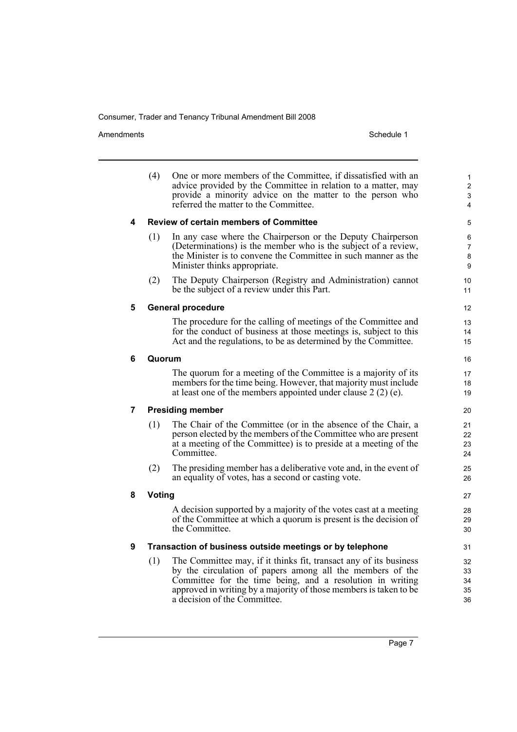Amendments Schedule 1

|   | (4)    | One or more members of the Committee, if dissatisfied with an<br>advice provided by the Committee in relation to a matter, may<br>provide a minority advice on the matter to the person who<br>referred the matter to the Committee.                                                             | $\mathbf{1}$<br>$\overline{2}$<br>3<br>$\overline{4}$ |  |  |  |  |
|---|--------|--------------------------------------------------------------------------------------------------------------------------------------------------------------------------------------------------------------------------------------------------------------------------------------------------|-------------------------------------------------------|--|--|--|--|
| 4 |        | <b>Review of certain members of Committee</b>                                                                                                                                                                                                                                                    | 5                                                     |  |  |  |  |
|   | (1)    | In any case where the Chairperson or the Deputy Chairperson<br>(Determinations) is the member who is the subject of a review,<br>the Minister is to convene the Committee in such manner as the<br>Minister thinks appropriate.                                                                  | 6<br>$\overline{7}$<br>8<br>9                         |  |  |  |  |
|   | (2)    | The Deputy Chairperson (Registry and Administration) cannot<br>be the subject of a review under this Part.                                                                                                                                                                                       | 10<br>11                                              |  |  |  |  |
| 5 |        | <b>General procedure</b>                                                                                                                                                                                                                                                                         | 12                                                    |  |  |  |  |
|   |        | The procedure for the calling of meetings of the Committee and<br>for the conduct of business at those meetings is, subject to this<br>Act and the regulations, to be as determined by the Committee.                                                                                            | 13<br>14<br>15                                        |  |  |  |  |
| 6 | Quorum |                                                                                                                                                                                                                                                                                                  | 16                                                    |  |  |  |  |
|   |        | The quorum for a meeting of the Committee is a majority of its<br>members for the time being. However, that majority must include<br>at least one of the members appointed under clause $2(2)$ (e).                                                                                              | 17<br>18<br>19                                        |  |  |  |  |
| 7 |        | <b>Presiding member</b>                                                                                                                                                                                                                                                                          | 20                                                    |  |  |  |  |
|   | (1)    | The Chair of the Committee (or in the absence of the Chair, a<br>person elected by the members of the Committee who are present<br>at a meeting of the Committee) is to preside at a meeting of the<br>Committee.                                                                                | 21<br>22<br>23<br>24                                  |  |  |  |  |
|   | (2)    | The presiding member has a deliberative vote and, in the event of<br>an equality of votes, has a second or casting vote.                                                                                                                                                                         | 25<br>26                                              |  |  |  |  |
| 8 |        | <b>Voting</b><br>27                                                                                                                                                                                                                                                                              |                                                       |  |  |  |  |
|   |        | A decision supported by a majority of the votes cast at a meeting<br>of the Committee at which a quorum is present is the decision of<br>the Committee.                                                                                                                                          | 28<br>29<br>30                                        |  |  |  |  |
| 9 |        | Transaction of business outside meetings or by telephone                                                                                                                                                                                                                                         |                                                       |  |  |  |  |
|   | (1)    | The Committee may, if it thinks fit, transact any of its business<br>by the circulation of papers among all the members of the<br>Committee for the time being, and a resolution in writing<br>approved in writing by a majority of those members is taken to be<br>a decision of the Committee. | 32<br>33<br>34<br>35<br>36                            |  |  |  |  |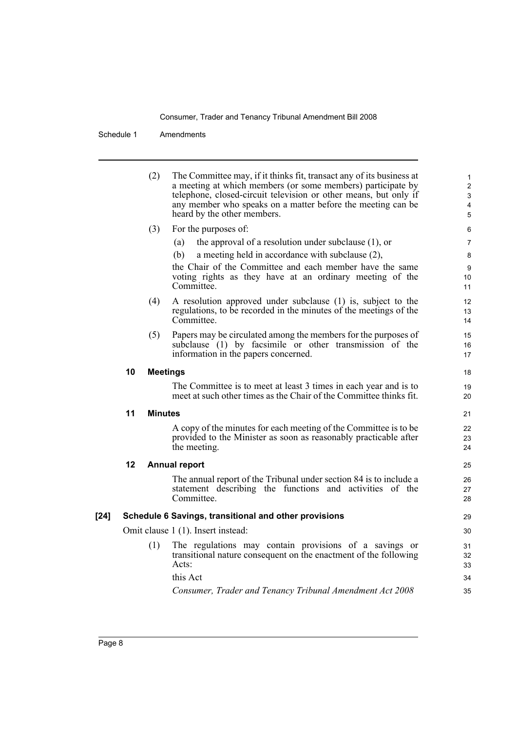|      |    | (2)             | The Committee may, if it thinks fit, transact any of its business at<br>a meeting at which members (or some members) participate by<br>telephone, closed-circuit television or other means, but only if<br>any member who speaks on a matter before the meeting can be<br>heard by the other members. | $\mathbf{1}$<br>$\overline{2}$<br>$\mathfrak{S}$<br>4<br>5 |
|------|----|-----------------|-------------------------------------------------------------------------------------------------------------------------------------------------------------------------------------------------------------------------------------------------------------------------------------------------------|------------------------------------------------------------|
|      |    | (3)             | For the purposes of:                                                                                                                                                                                                                                                                                  | 6                                                          |
|      |    |                 | the approval of a resolution under subclause $(1)$ , or<br>(a)                                                                                                                                                                                                                                        | $\overline{7}$                                             |
|      |    |                 | (b)<br>a meeting held in accordance with subclause (2),                                                                                                                                                                                                                                               | 8                                                          |
|      |    |                 | the Chair of the Committee and each member have the same<br>voting rights as they have at an ordinary meeting of the<br>Committee.                                                                                                                                                                    | 9<br>10<br>11                                              |
|      |    | (4)             | A resolution approved under subclause (1) is, subject to the<br>regulations, to be recorded in the minutes of the meetings of the<br>Committee.                                                                                                                                                       | 12<br>13<br>14                                             |
|      |    | (5)             | Papers may be circulated among the members for the purposes of<br>subclause (1) by facsimile or other transmission of the<br>information in the papers concerned.                                                                                                                                     | 15<br>16<br>17                                             |
|      | 10 | <b>Meetings</b> |                                                                                                                                                                                                                                                                                                       | 18                                                         |
|      |    |                 | The Committee is to meet at least 3 times in each year and is to<br>meet at such other times as the Chair of the Committee thinks fit.                                                                                                                                                                | 19<br>20                                                   |
|      | 11 | <b>Minutes</b>  |                                                                                                                                                                                                                                                                                                       | 21                                                         |
|      |    |                 | A copy of the minutes for each meeting of the Committee is to be<br>provided to the Minister as soon as reasonably practicable after<br>the meeting.                                                                                                                                                  | 22<br>23<br>24                                             |
|      | 12 |                 | <b>Annual report</b>                                                                                                                                                                                                                                                                                  | 25                                                         |
|      |    |                 | The annual report of the Tribunal under section 84 is to include a<br>statement describing the functions and activities of the<br>Committee.                                                                                                                                                          | 26<br>27<br>28                                             |
| [24] |    |                 | Schedule 6 Savings, transitional and other provisions                                                                                                                                                                                                                                                 | 29                                                         |
|      |    |                 | Omit clause 1 (1). Insert instead:                                                                                                                                                                                                                                                                    | 30                                                         |
|      |    | (1)             | The regulations may contain provisions of a savings or<br>transitional nature consequent on the enactment of the following<br>Acts:                                                                                                                                                                   | 31<br>32<br>33                                             |
|      |    |                 | this Act                                                                                                                                                                                                                                                                                              | 34                                                         |
|      |    |                 | Consumer, Trader and Tenancy Tribunal Amendment Act 2008                                                                                                                                                                                                                                              | 35                                                         |
|      |    |                 |                                                                                                                                                                                                                                                                                                       |                                                            |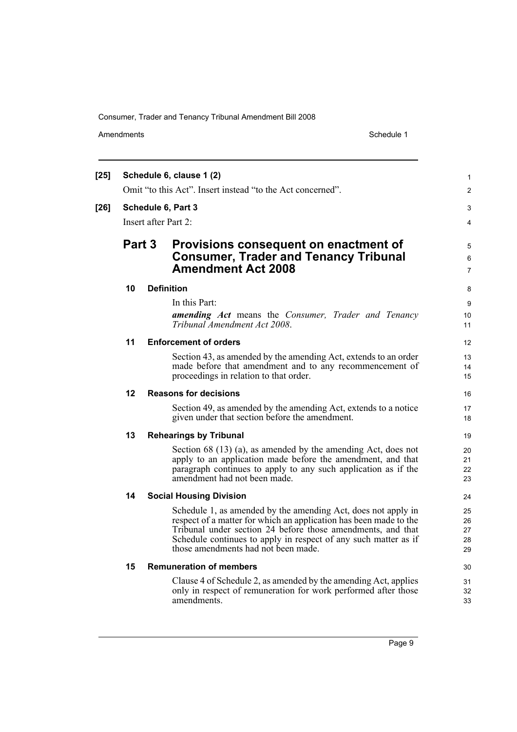Amendments Schedule 1

| $[25]$ |        |  | Schedule 6, clause 1 (2)                                                                                                                                                                                                                                                                                    | $\mathbf{1}$               |
|--------|--------|--|-------------------------------------------------------------------------------------------------------------------------------------------------------------------------------------------------------------------------------------------------------------------------------------------------------------|----------------------------|
|        |        |  | Omit "to this Act". Insert instead "to the Act concerned".                                                                                                                                                                                                                                                  | $\overline{2}$             |
| $[26]$ |        |  | Schedule 6, Part 3                                                                                                                                                                                                                                                                                          | 3                          |
|        |        |  | Insert after Part 2:                                                                                                                                                                                                                                                                                        | 4                          |
|        | Part 3 |  | Provisions consequent on enactment of<br><b>Consumer, Trader and Tenancy Tribunal</b><br><b>Amendment Act 2008</b>                                                                                                                                                                                          | 5<br>6<br>$\overline{7}$   |
|        | 10     |  | <b>Definition</b>                                                                                                                                                                                                                                                                                           | 8                          |
|        |        |  | In this Part:                                                                                                                                                                                                                                                                                               | 9                          |
|        |        |  | amending Act means the Consumer, Trader and Tenancy<br>Tribunal Amendment Act 2008.                                                                                                                                                                                                                         | 10<br>11                   |
|        | 11     |  | <b>Enforcement of orders</b>                                                                                                                                                                                                                                                                                | 12                         |
|        |        |  | Section 43, as amended by the amending Act, extends to an order<br>made before that amendment and to any recommencement of<br>proceedings in relation to that order.                                                                                                                                        | 13<br>14<br>15             |
|        | 12     |  | <b>Reasons for decisions</b>                                                                                                                                                                                                                                                                                | 16                         |
|        |        |  | Section 49, as amended by the amending Act, extends to a notice<br>given under that section before the amendment.                                                                                                                                                                                           | 17<br>18                   |
|        | 13     |  | <b>Rehearings by Tribunal</b>                                                                                                                                                                                                                                                                               | 19                         |
|        |        |  | Section 68 $(13)$ (a), as amended by the amending Act, does not<br>apply to an application made before the amendment, and that<br>paragraph continues to apply to any such application as if the<br>amendment had not been made.                                                                            | 20<br>21<br>22<br>23       |
|        | 14     |  | <b>Social Housing Division</b>                                                                                                                                                                                                                                                                              | 24                         |
|        |        |  | Schedule 1, as amended by the amending Act, does not apply in<br>respect of a matter for which an application has been made to the<br>Tribunal under section 24 before those amendments, and that<br>Schedule continues to apply in respect of any such matter as if<br>those amendments had not been made. | 25<br>26<br>27<br>28<br>29 |
|        | 15     |  | <b>Remuneration of members</b>                                                                                                                                                                                                                                                                              | 30                         |
|        |        |  | Clause 4 of Schedule 2, as amended by the amending Act, applies<br>only in respect of remuneration for work performed after those<br>amendments.                                                                                                                                                            | 31<br>32<br>33             |